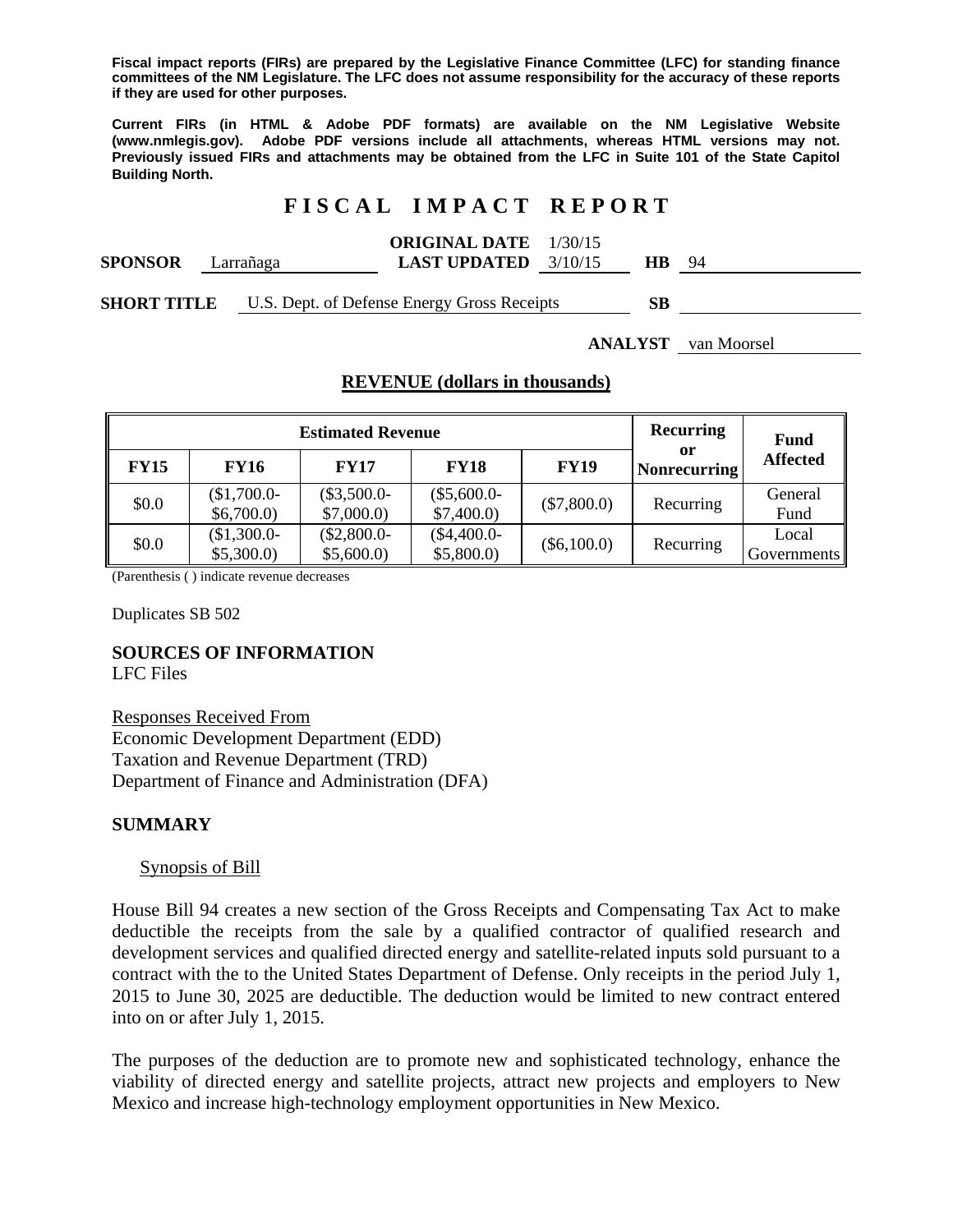**Fiscal impact reports (FIRs) are prepared by the Legislative Finance Committee (LFC) for standing finance committees of the NM Legislature. The LFC does not assume responsibility for the accuracy of these reports if they are used for other purposes.** 

**Current FIRs (in HTML & Adobe PDF formats) are available on the NM Legislative Website (www.nmlegis.gov). Adobe PDF versions include all attachments, whereas HTML versions may not. Previously issued FIRs and attachments may be obtained from the LFC in Suite 101 of the State Capitol Building North.**

## **F I S C A L I M P A C T R E P O R T**

| <b>ORIGINAL DATE</b> | 1/30/15 |
|----------------------|---------|
|----------------------|---------|

| <b>SPONSOR</b> | ∟arrañaga | <b>LAST UPDATED</b> | 3/10/15 | HВ | $Q_4$ |
|----------------|-----------|---------------------|---------|----|-------|
|                |           |                     |         |    |       |

**SHORT TITLE** U.S. Dept. of Defense Energy Gross Receipts **SB** 

**ANALYST** van Moorsel

### **REVENUE (dollars in thousands)**

| <b>Estimated Revenue</b> |             |              | Recurring    | <b>Fund</b>   |                           |                 |  |      |
|--------------------------|-------------|--------------|--------------|---------------|---------------------------|-----------------|--|------|
| <b>FY15</b>              | <b>FY16</b> | <b>FY17</b>  | <b>FY18</b>  | <b>FY19</b>   | or<br><b>Nonrecurring</b> | <b>Affected</b> |  |      |
| \$0.0                    | $$1,700.0-$ | $($3,500.0-$ | $($5,600.0-$ | $(\$7,800.0)$ | Recurring                 | General         |  |      |
|                          | \$6,700.0\$ | \$7,000.0    | \$7,400.0    |               |                           |                 |  | Fund |
| \$0.0                    | $$1,300.0-$ | $($2,800.0-$ | $($4,400.0-$ | $(\$6,100.0)$ | Recurring                 | Local           |  |      |
| \$5,300.0                | \$5,600.0   | \$5,800.0    |              |               | Governments               |                 |  |      |

(Parenthesis ( ) indicate revenue decreases

Duplicates SB 502

## **SOURCES OF INFORMATION**

LFC Files

Responses Received From Economic Development Department (EDD) Taxation and Revenue Department (TRD) Department of Finance and Administration (DFA)

### **SUMMARY**

### Synopsis of Bill

House Bill 94 creates a new section of the Gross Receipts and Compensating Tax Act to make deductible the receipts from the sale by a qualified contractor of qualified research and development services and qualified directed energy and satellite-related inputs sold pursuant to a contract with the to the United States Department of Defense. Only receipts in the period July 1, 2015 to June 30, 2025 are deductible. The deduction would be limited to new contract entered into on or after July 1, 2015.

The purposes of the deduction are to promote new and sophisticated technology, enhance the viability of directed energy and satellite projects, attract new projects and employers to New Mexico and increase high-technology employment opportunities in New Mexico.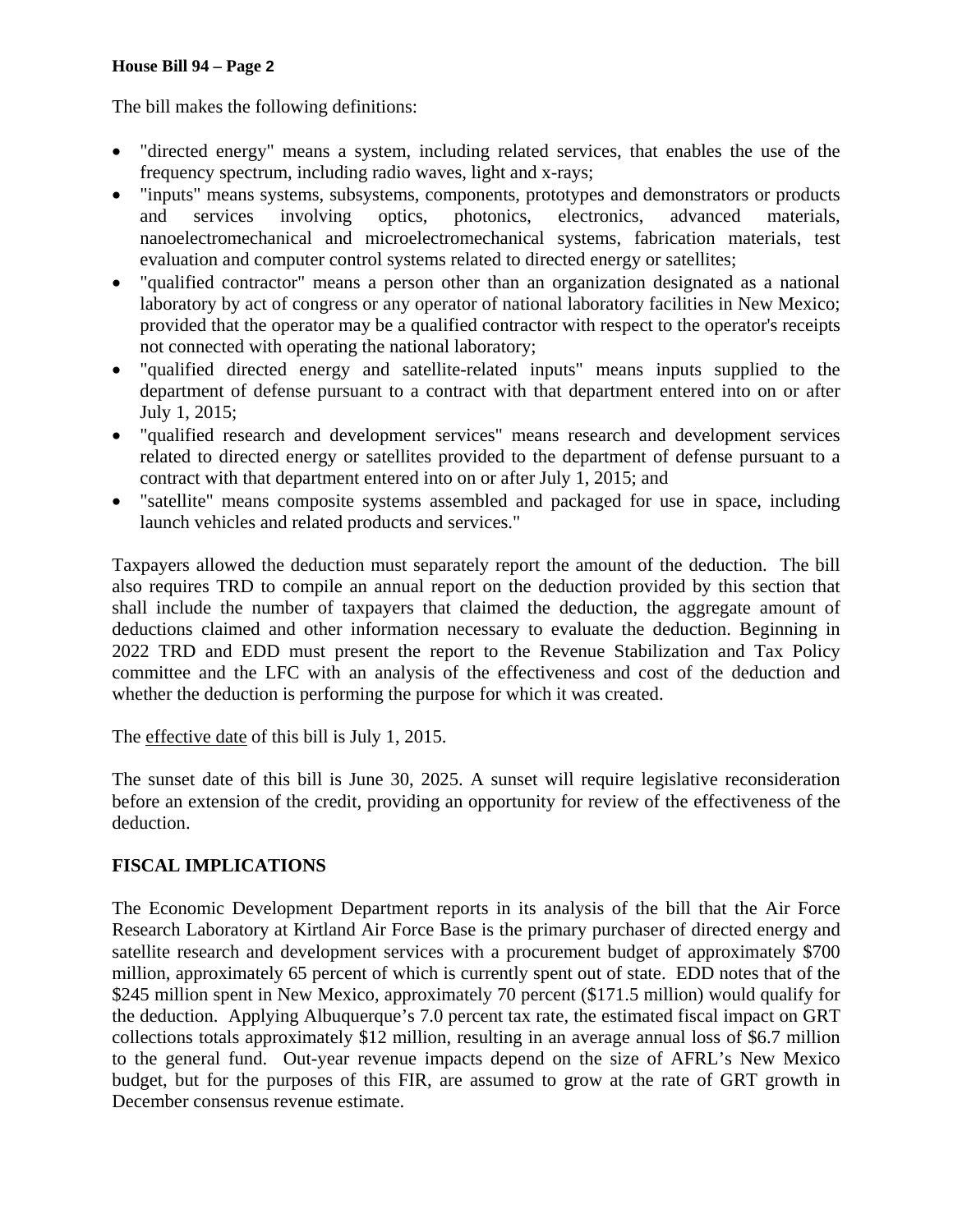#### **House Bill 94 – Page 2**

The bill makes the following definitions:

- "directed energy" means a system, including related services, that enables the use of the frequency spectrum, including radio waves, light and x-rays;
- "inputs" means systems, subsystems, components, prototypes and demonstrators or products and services involving optics, photonics, electronics, advanced materials, nanoelectromechanical and microelectromechanical systems, fabrication materials, test evaluation and computer control systems related to directed energy or satellites;
- "qualified contractor" means a person other than an organization designated as a national laboratory by act of congress or any operator of national laboratory facilities in New Mexico; provided that the operator may be a qualified contractor with respect to the operator's receipts not connected with operating the national laboratory;
- "qualified directed energy and satellite-related inputs" means inputs supplied to the department of defense pursuant to a contract with that department entered into on or after July 1, 2015;
- "qualified research and development services" means research and development services related to directed energy or satellites provided to the department of defense pursuant to a contract with that department entered into on or after July 1, 2015; and
- "satellite" means composite systems assembled and packaged for use in space, including launch vehicles and related products and services."

Taxpayers allowed the deduction must separately report the amount of the deduction. The bill also requires TRD to compile an annual report on the deduction provided by this section that shall include the number of taxpayers that claimed the deduction, the aggregate amount of deductions claimed and other information necessary to evaluate the deduction. Beginning in 2022 TRD and EDD must present the report to the Revenue Stabilization and Tax Policy committee and the LFC with an analysis of the effectiveness and cost of the deduction and whether the deduction is performing the purpose for which it was created.

The effective date of this bill is July 1, 2015.

The sunset date of this bill is June 30, 2025. A sunset will require legislative reconsideration before an extension of the credit, providing an opportunity for review of the effectiveness of the deduction.

# **FISCAL IMPLICATIONS**

The Economic Development Department reports in its analysis of the bill that the Air Force Research Laboratory at Kirtland Air Force Base is the primary purchaser of directed energy and satellite research and development services with a procurement budget of approximately \$700 million, approximately 65 percent of which is currently spent out of state. EDD notes that of the \$245 million spent in New Mexico, approximately 70 percent (\$171.5 million) would qualify for the deduction. Applying Albuquerque's 7.0 percent tax rate, the estimated fiscal impact on GRT collections totals approximately \$12 million, resulting in an average annual loss of \$6.7 million to the general fund. Out-year revenue impacts depend on the size of AFRL's New Mexico budget, but for the purposes of this FIR, are assumed to grow at the rate of GRT growth in December consensus revenue estimate.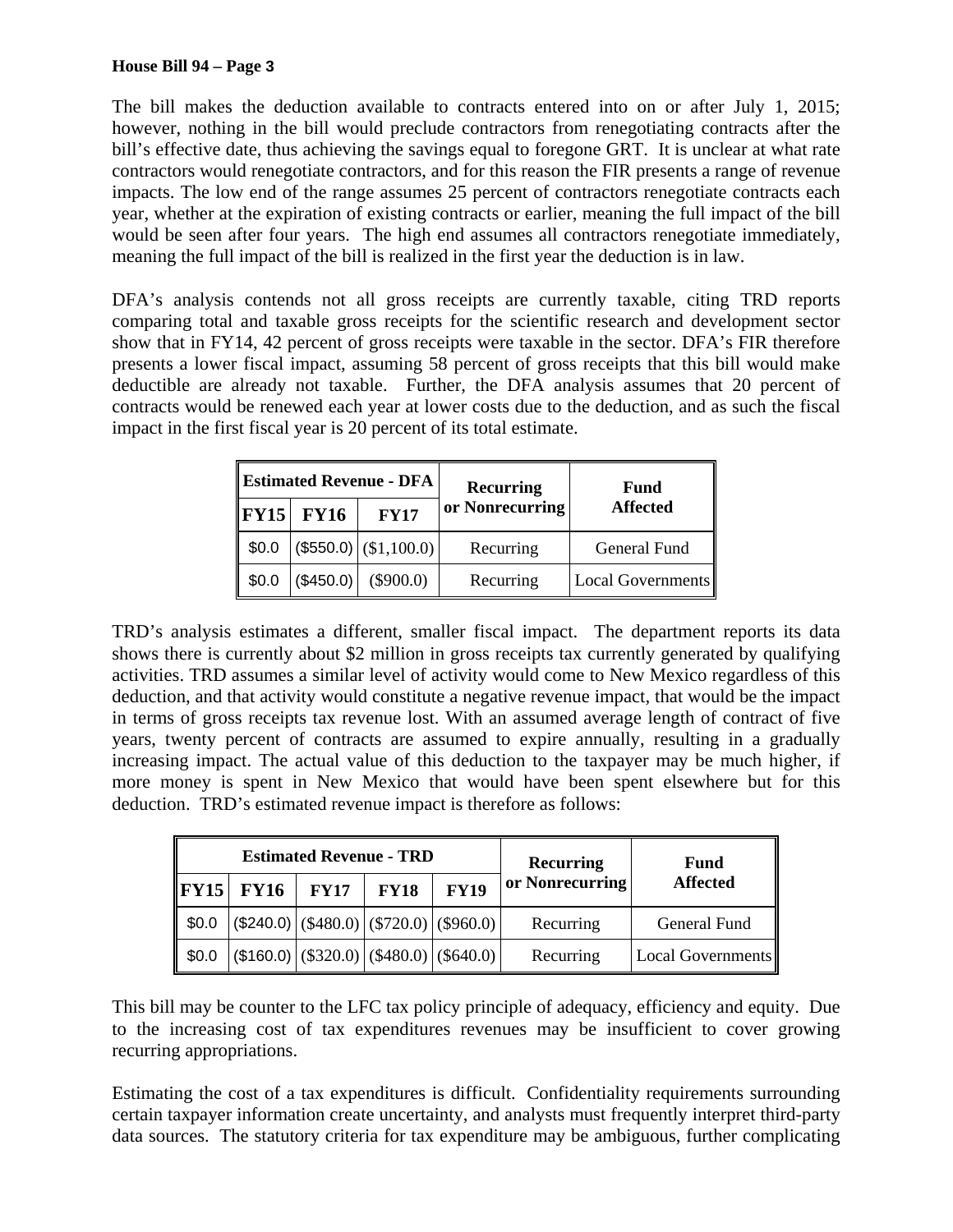The bill makes the deduction available to contracts entered into on or after July 1, 2015; however, nothing in the bill would preclude contractors from renegotiating contracts after the bill's effective date, thus achieving the savings equal to foregone GRT. It is unclear at what rate contractors would renegotiate contractors, and for this reason the FIR presents a range of revenue impacts. The low end of the range assumes 25 percent of contractors renegotiate contracts each year, whether at the expiration of existing contracts or earlier, meaning the full impact of the bill would be seen after four years. The high end assumes all contractors renegotiate immediately, meaning the full impact of the bill is realized in the first year the deduction is in law.

DFA's analysis contends not all gross receipts are currently taxable, citing TRD reports comparing total and taxable gross receipts for the scientific research and development sector show that in FY14, 42 percent of gross receipts were taxable in the sector. DFA's FIR therefore presents a lower fiscal impact, assuming 58 percent of gross receipts that this bill would make deductible are already not taxable. Further, the DFA analysis assumes that 20 percent of contracts would be renewed each year at lower costs due to the deduction, and as such the fiscal impact in the first fiscal year is 20 percent of its total estimate.

|          |             | <b>Estimated Revenue - DFA</b> | <b>Recurring</b> | Fund                     |  |
|----------|-------------|--------------------------------|------------------|--------------------------|--|
| $ $ FY15 | <b>FY16</b> | <b>FY17</b>                    | or Nonrecurring  | <b>Affected</b>          |  |
| \$0.0    |             | $(\$550.0)$ $(\$1,100.0)$      | Recurring        | General Fund             |  |
| \$0.0    | (\$450.0)   | $(\$900.0)$                    | Recurring        | <b>Local Governments</b> |  |

TRD's analysis estimates a different, smaller fiscal impact. The department reports its data shows there is currently about \$2 million in gross receipts tax currently generated by qualifying activities. TRD assumes a similar level of activity would come to New Mexico regardless of this deduction, and that activity would constitute a negative revenue impact, that would be the impact in terms of gross receipts tax revenue lost. With an assumed average length of contract of five years, twenty percent of contracts are assumed to expire annually, resulting in a gradually increasing impact. The actual value of this deduction to the taxpayer may be much higher, if more money is spent in New Mexico that would have been spent elsewhere but for this deduction. TRD's estimated revenue impact is therefore as follows:

| <b>Estimated Revenue - TRD</b> |             |             | Recurring   | Fund                                                       |                 |                   |
|--------------------------------|-------------|-------------|-------------|------------------------------------------------------------|-----------------|-------------------|
| $\ $ FY15                      | <b>FY16</b> | <b>FY17</b> | <b>FY18</b> | <b>FY19</b>                                                | or Nonrecurring | <b>Affected</b>   |
| $\parallel$ \$0.0              |             |             |             | $(\$240.0)   (\$480.0)   (\$720.0)   (\$960.0)  $          | Recurring       | General Fund      |
| $\parallel$ \$0.0              |             |             |             | $($ \$160.0) $ ($ \$320.0) $ ($ \$480.0) $ ($ \$640.0) $ $ | Recurring       | Local Governments |

This bill may be counter to the LFC tax policy principle of adequacy, efficiency and equity. Due to the increasing cost of tax expenditures revenues may be insufficient to cover growing recurring appropriations.

Estimating the cost of a tax expenditures is difficult. Confidentiality requirements surrounding certain taxpayer information create uncertainty, and analysts must frequently interpret third-party data sources. The statutory criteria for tax expenditure may be ambiguous, further complicating